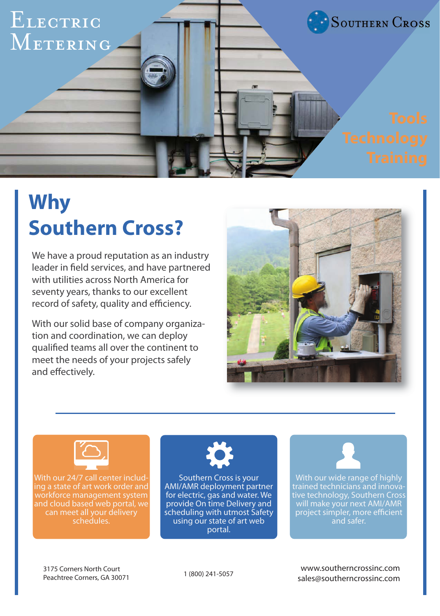

# **Why Southern Cross?**

We have a proud reputation as an industry leader in field services, and have partnered with utilities across North America for seventy years, thanks to our excellent record of safety, quality and efficiency.

With our solid base of company organization and coordination, we can deploy qualified teams all over the continent to meet the needs of your projects safely and effectively.





With our 24/7 call center including a state of art work order and workforce management system and cloud based web portal, we schedules.



Southern Cross is your AMI/AMR deployment partner for electric, gas and water. We provide On time Delivery and scheduling with utmost Safety using our state of art web portal.



With our wide range of highly trained technicians and innovative technology, Southern Cross will make your next AMI/AMR project simpler, more efficient and safer.